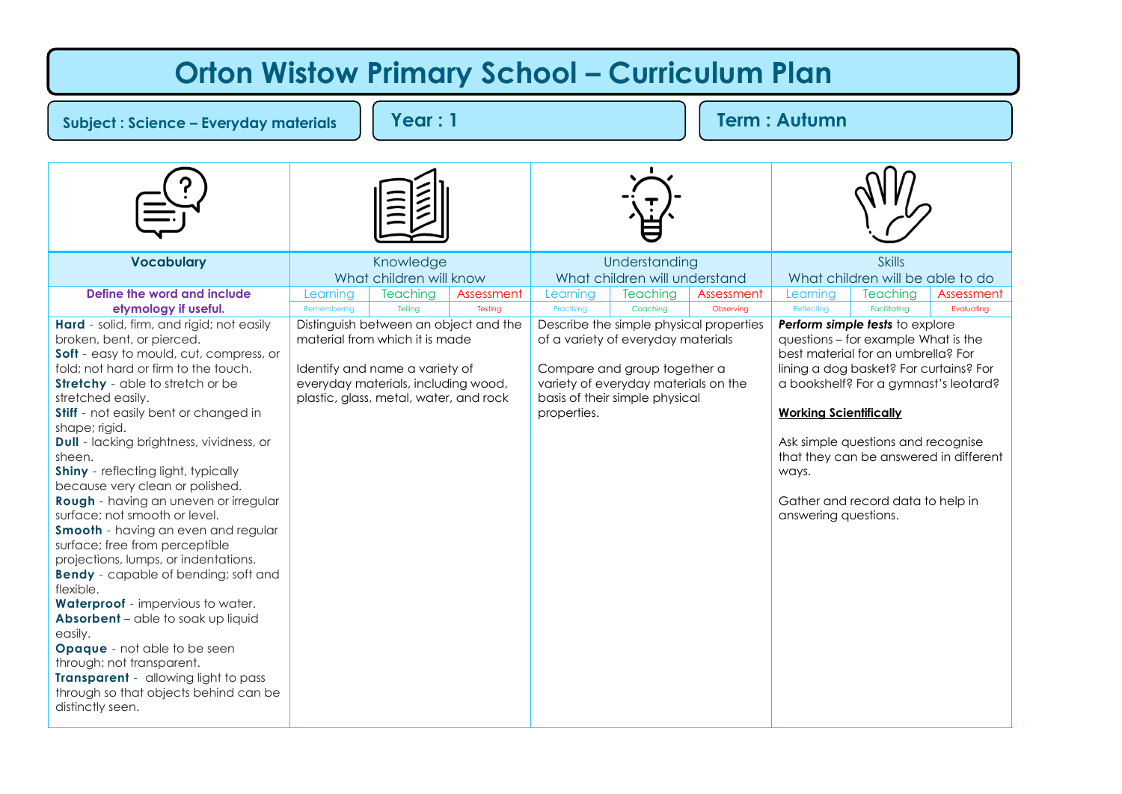## **Vocabulary Knowledge** What children will know Understanding What children will understand **Skills** What children will be able to do **Define the word and include etymology if useful.** Learning Teaching Assessment Learning Teaching Assessment Learning Teaching Assessment Remembering | Telling | T**esting |** Practising | Coaching | Obs**erving** | Reflecting | Facilitating | E**valuating Hard** - solid, firm, and rigid; not easily broken, bent, or pierced. **Soft** - easy to mould, cut, compress, or fold; not hard or firm to the touch. **Stretchy** - able to stretch or be stretched easily. **Stiff** - not easily bent or changed in shape; rigid. **Dull** - lacking brightness, vividness, or sheen. **Shiny** - reflecting light, typically because very clean or polished. **Rough** - having an uneven or irregular surface; not smooth or level. **Smooth** - having an even and regular surface; free from perceptible projections, lumps, or indentations. **Bendy** - capable of bending; soft and flexible. **Waterproof** - impervious to water. **Absorbent** – able to soak up liquid easily. **Opaque** - not able to be seen through; not transparent. **Transparent** - allowing light to pass through so that objects behind can be distinctly seen. Distinguish between an object and the material from which it is made Identify and name a variety of everyday materials, including wood, plastic, glass, metal, water, and rock Describe the simple physical properties of a variety of everyday materials Compare and group together a variety of everyday materials on the basis of their simple physical properties. *Perform simple tests* to explore questions – for example What is the best material for an umbrella? For lining a dog basket? For curtains? For a bookshelf? For a gymnast's leotard? **Working Scientifically** Ask simple questions and recognise that they can be answered in different ways. Gather and record data to help in answering questions. **Orton Wistow Primary School – Curriculum Plan Subject : Science – Everyday materials Year : 1 Term : Autumn**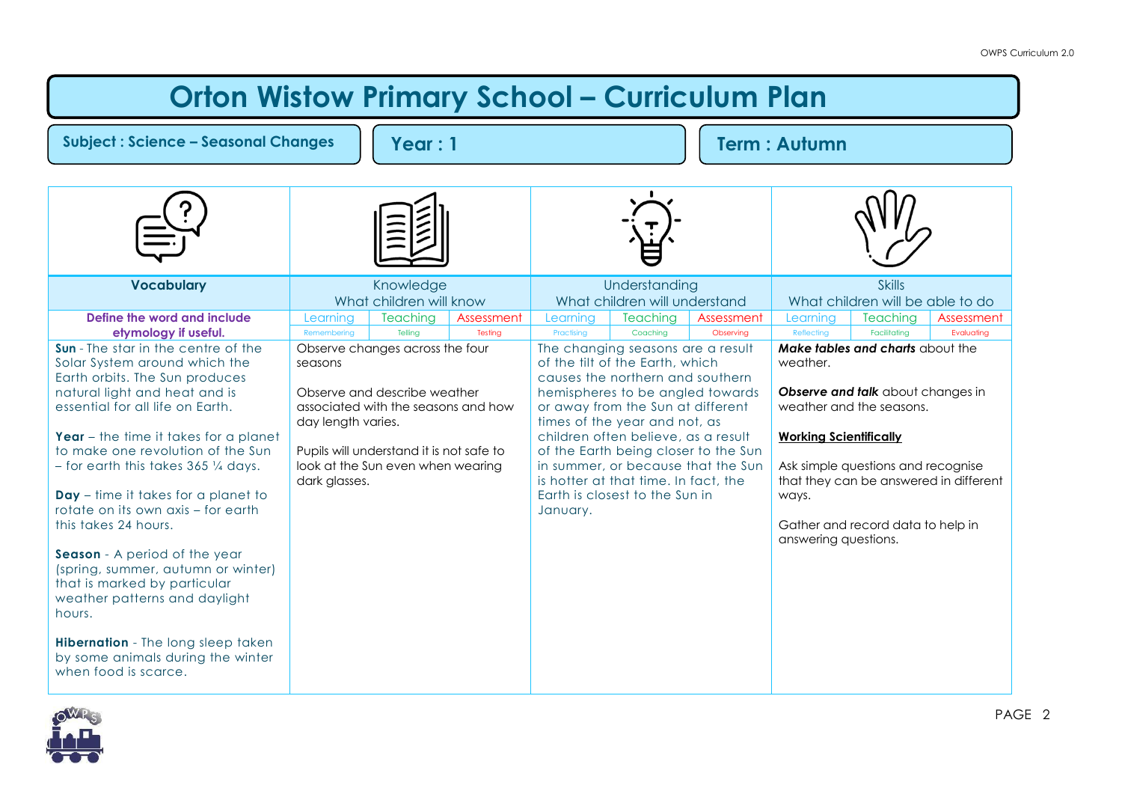## **Orton Wistow Primary School - Curriculum Plan**

| <b>Subject: Science - Seasonal Changes</b><br>Year: 1                                                                                                                                                                                                                                                                                                                                                                                                                                                                                                                                                                                                                       |                                                |                                                                                                                                                                                         |                       | <b>Term: Autumn</b>                                                                                                                                                                                                                                                                                      |                                                |                                                                            |                                                                            |                                                                                                                                                                                                                        |                          |
|-----------------------------------------------------------------------------------------------------------------------------------------------------------------------------------------------------------------------------------------------------------------------------------------------------------------------------------------------------------------------------------------------------------------------------------------------------------------------------------------------------------------------------------------------------------------------------------------------------------------------------------------------------------------------------|------------------------------------------------|-----------------------------------------------------------------------------------------------------------------------------------------------------------------------------------------|-----------------------|----------------------------------------------------------------------------------------------------------------------------------------------------------------------------------------------------------------------------------------------------------------------------------------------------------|------------------------------------------------|----------------------------------------------------------------------------|----------------------------------------------------------------------------|------------------------------------------------------------------------------------------------------------------------------------------------------------------------------------------------------------------------|--------------------------|
|                                                                                                                                                                                                                                                                                                                                                                                                                                                                                                                                                                                                                                                                             |                                                |                                                                                                                                                                                         |                       |                                                                                                                                                                                                                                                                                                          |                                                |                                                                            |                                                                            |                                                                                                                                                                                                                        |                          |
| <b>Vocabulary</b>                                                                                                                                                                                                                                                                                                                                                                                                                                                                                                                                                                                                                                                           |                                                | Knowledge<br>What children will know                                                                                                                                                    |                       |                                                                                                                                                                                                                                                                                                          | Understanding<br>What children will understand |                                                                            |                                                                            | <b>Skills</b><br>What children will be able to do                                                                                                                                                                      |                          |
| Define the word and include<br>etymology if useful.                                                                                                                                                                                                                                                                                                                                                                                                                                                                                                                                                                                                                         | Learning<br>Remembering                        | <b>Teaching</b><br>Telling                                                                                                                                                              | Assessment<br>Testing | Learning<br>Practising                                                                                                                                                                                                                                                                                   | Teaching<br>Coaching                           | Assessment<br>Observing                                                    | Learning<br>Reflecting                                                     | <b>Teaching</b><br>Facilitating                                                                                                                                                                                        | Assessment<br>Evaluating |
| Sun - The star in the centre of the<br>Solar System around which the<br>Earth orbits. The Sun produces<br>natural light and heat and is<br>essential for all life on Earth.<br>Year $-$ the time it takes for a planet<br>to make one revolution of the Sun<br>$-$ for earth this takes 365 $\frac{1}{4}$ days.<br>$Day - time$ it takes for a planet to<br>rotate on its own axis - for earth<br>this takes 24 hours.<br>Season - A period of the year<br>(spring, summer, autumn or winter)<br>that is marked by particular<br>weather patterns and daylight<br>hours.<br>Hibernation - The long sleep taken<br>by some animals during the winter<br>when food is scarce. | seasons<br>day length varies.<br>dark glasses. | Observe changes across the four<br>Observe and describe weather<br>associated with the seasons and how<br>Pupils will understand it is not safe to<br>look at the Sun even when wearing |                       | The changing seasons are a result<br>of the tilt of the Earth, which<br>causes the northern and southern<br>hemispheres to be angled towards<br>or away from the Sun at different<br>times of the year and not, as<br>is hotter at that time. In fact, the<br>Earth is closest to the Sun in<br>January. | children often believe, as a result            | of the Earth being closer to the Sun<br>in summer, or because that the Sun | weather.<br><b>Working Scientifically</b><br>ways.<br>answering questions. | Make tables and charts about the<br>Observe and talk about changes in<br>weather and the seasons.<br>Ask simple questions and recognise<br>that they can be answered in different<br>Gather and record data to help in |                          |

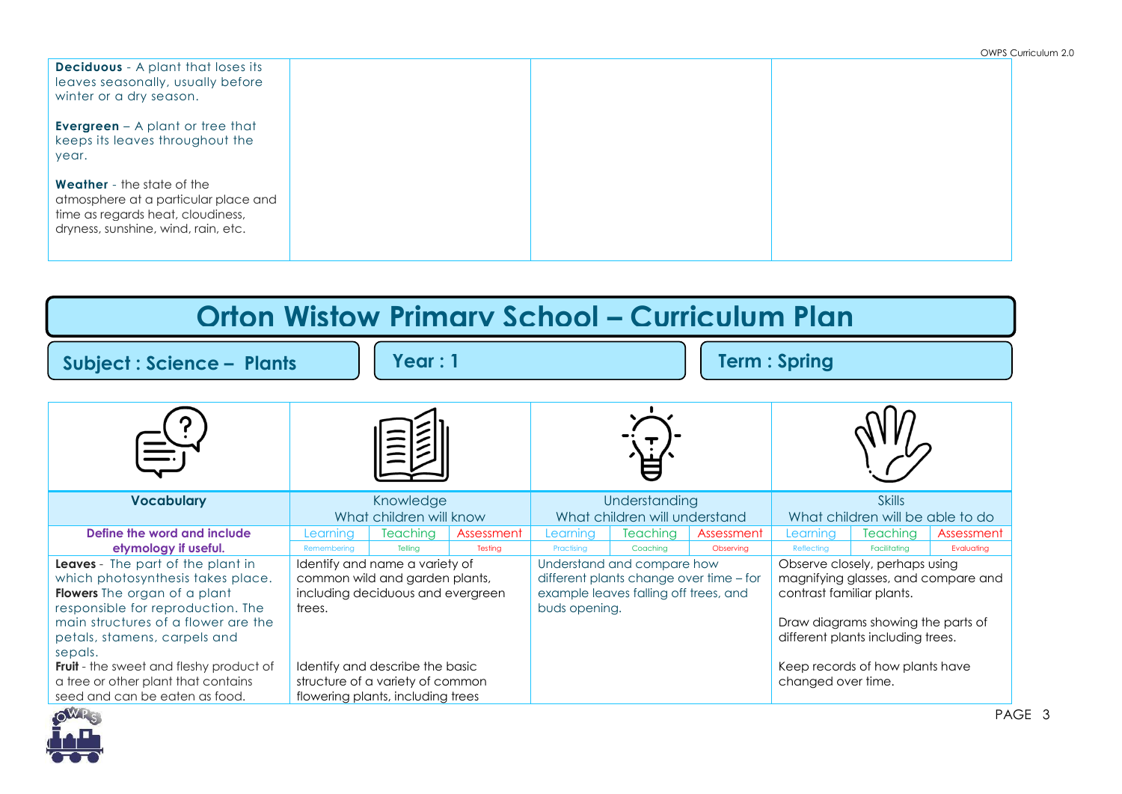| <b>Deciduous</b> - A plant that loses its<br>leaves seasonally, usually before<br>winter or a dry season.                                             |  |  |
|-------------------------------------------------------------------------------------------------------------------------------------------------------|--|--|
| <b>Evergreen</b> $-$ A plant or tree that<br>keeps its leaves throughout the<br>year.                                                                 |  |  |
| <b>Weather</b> - the state of the<br>atmosphere at a particular place and<br>time as regards heat, cloudiness,<br>dryness, sunshine, wind, rain, etc. |  |  |

| <b>Orton Wistow Primary School - Curriculum Plan</b>                                                                                                                                                                                                                                                                                   |                                      |                                                                                                                                     |                       |                                                |                                                                                                                                               |                         |                                                     |                                                                                                                                                                                                                        |                          |
|----------------------------------------------------------------------------------------------------------------------------------------------------------------------------------------------------------------------------------------------------------------------------------------------------------------------------------------|--------------------------------------|-------------------------------------------------------------------------------------------------------------------------------------|-----------------------|------------------------------------------------|-----------------------------------------------------------------------------------------------------------------------------------------------|-------------------------|-----------------------------------------------------|------------------------------------------------------------------------------------------------------------------------------------------------------------------------------------------------------------------------|--------------------------|
| Year:1<br><b>Subject: Science - Plants</b>                                                                                                                                                                                                                                                                                             |                                      | <b>Term: Spring</b>                                                                                                                 |                       |                                                |                                                                                                                                               |                         |                                                     |                                                                                                                                                                                                                        |                          |
|                                                                                                                                                                                                                                                                                                                                        |                                      |                                                                                                                                     |                       |                                                |                                                                                                                                               |                         |                                                     |                                                                                                                                                                                                                        |                          |
| <b>Vocabulary</b>                                                                                                                                                                                                                                                                                                                      | Knowledge<br>What children will know |                                                                                                                                     |                       | Understanding<br>What children will understand |                                                                                                                                               |                         | <b>Skills</b><br>What children will be able to do   |                                                                                                                                                                                                                        |                          |
| Define the word and include<br>etymology if useful.<br>Leaves - The part of the plant in<br>which photosynthesis takes place.<br>Flowers The organ of a plant<br>responsible for reproduction. The<br>main structures of a flower are the<br>petals, stamens, carpels and<br>sepals.<br><b>Fruit</b> - the sweet and fleshy product of | Learning<br>Remembering<br>trees.    | <b>Teaching</b><br>Tellina<br>Identify and name a variety of<br>common wild and garden plants,<br>including deciduous and evergreen | Assessment<br>Testina | Learnina<br>Practisina<br>buds opening.        | <b>Teaching</b><br>Coachina<br>Understand and compare how<br>different plants change over time - for<br>example leaves falling off trees, and | Assessment<br>Observina | Learnina<br>Reflecting<br>contrast familiar plants. | <b>Teaching</b><br>Facilitatina<br>Observe closely, perhaps using<br>magnifying glasses, and compare and<br>Draw diagrams showing the parts of<br>different plants including trees.<br>Keep records of how plants have | Assessment<br>Evaluating |
| a tree or other plant that contains<br>seed and can be eaten as food.                                                                                                                                                                                                                                                                  |                                      | Identify and describe the basic<br>structure of a variety of common<br>flowering plants, including trees                            |                       |                                                |                                                                                                                                               |                         | changed over time.                                  |                                                                                                                                                                                                                        |                          |

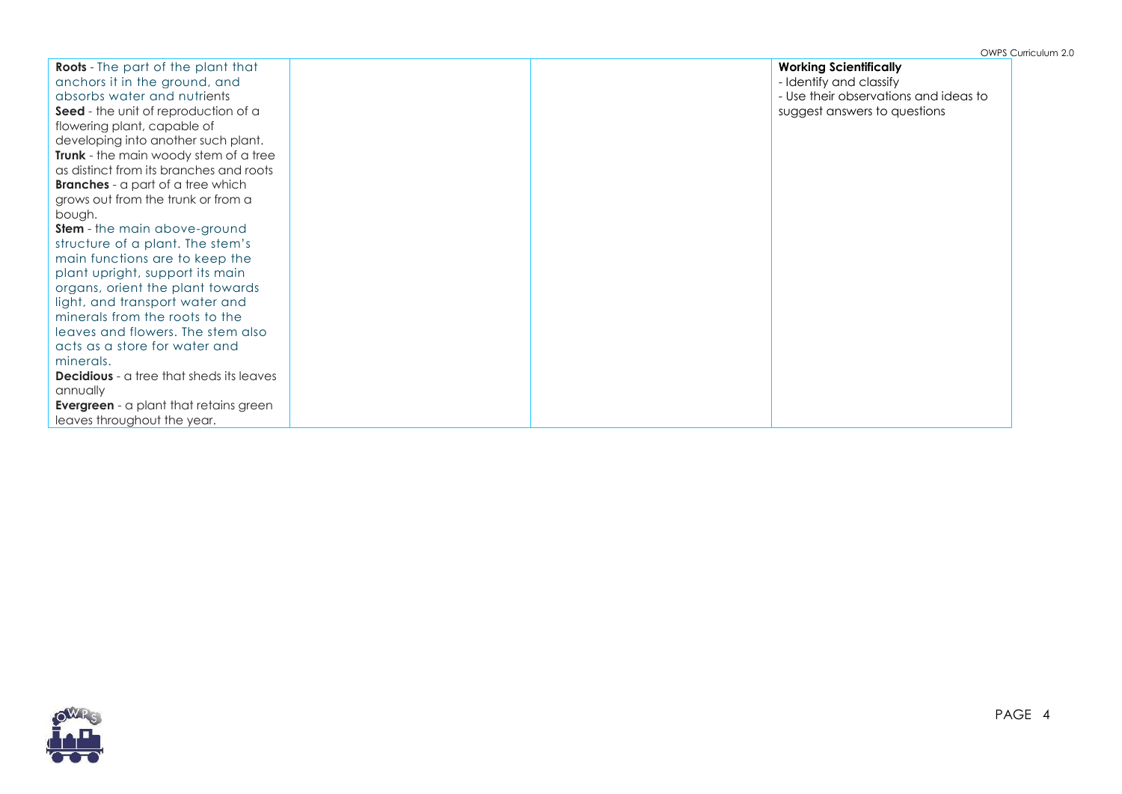| <b>Roots</b> - The part of the plant that       |  | <b>Working Scientifically</b>         |
|-------------------------------------------------|--|---------------------------------------|
| anchors it in the ground, and                   |  | - Identify and classify               |
| absorbs water and nutrients                     |  | - Use their observations and ideas to |
| <b>Seed</b> - the unit of reproduction of a     |  | suggest answers to questions          |
| flowering plant, capable of                     |  |                                       |
| developing into another such plant.             |  |                                       |
| <b>Trunk</b> - the main woody stem of a tree    |  |                                       |
| as distinct from its branches and roots         |  |                                       |
| <b>Branches</b> - a part of a tree which        |  |                                       |
| grows out from the trunk or from a              |  |                                       |
| bough.                                          |  |                                       |
| <b>Stem</b> - the main above-ground             |  |                                       |
| structure of a plant. The stem's                |  |                                       |
| main functions are to keep the                  |  |                                       |
| plant upright, support its main                 |  |                                       |
| organs, orient the plant towards                |  |                                       |
| light, and transport water and                  |  |                                       |
| minerals from the roots to the                  |  |                                       |
| leaves and flowers. The stem also               |  |                                       |
| acts as a store for water and                   |  |                                       |
| minerals.                                       |  |                                       |
| <b>Decidious</b> - a tree that sheds its leaves |  |                                       |
| annually                                        |  |                                       |
| <b>Evergreen</b> - a plant that retains green   |  |                                       |
| leaves throughout the year.                     |  |                                       |

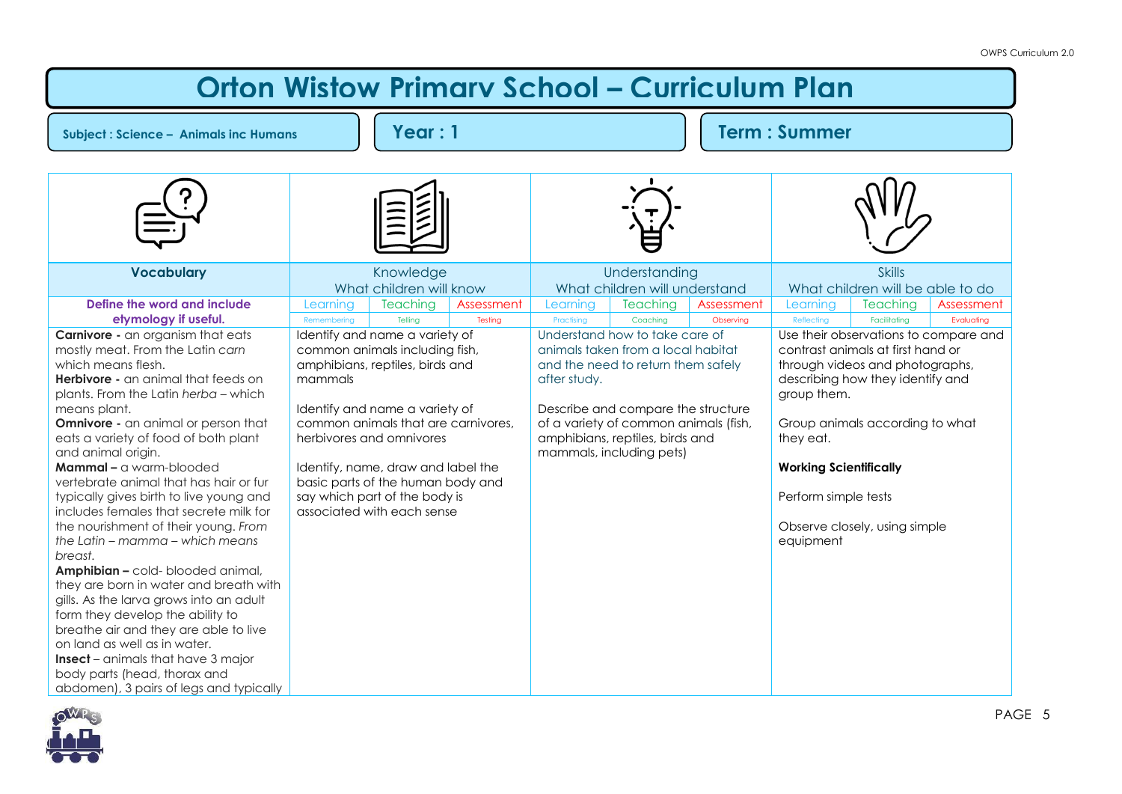## **Orton Wistow Primary School – Curriculum Plan**

**Subject : Science – Animals inc Humans Year : 1 Term : Summer**

| <b>Vocabulary</b>                                                                                                                                                                        | Knowledge<br>What children will know                                                                                                   |                            |                       | Understanding<br>What children will understand                                                                                             |                                                                                                            |                         | <b>Skills</b><br>What children will be able to do                                                                                                                |                                 |                          |
|------------------------------------------------------------------------------------------------------------------------------------------------------------------------------------------|----------------------------------------------------------------------------------------------------------------------------------------|----------------------------|-----------------------|--------------------------------------------------------------------------------------------------------------------------------------------|------------------------------------------------------------------------------------------------------------|-------------------------|------------------------------------------------------------------------------------------------------------------------------------------------------------------|---------------------------------|--------------------------|
| Define the word and include<br>etymology if useful.                                                                                                                                      | Learning<br>Remembering                                                                                                                | <b>Teaching</b><br>Telling | Assessment<br>Testing | Learning<br>Practising                                                                                                                     | <b>Teaching</b><br>Coaching                                                                                | Assessment<br>Observing | Learning<br>Reflecting                                                                                                                                           | <b>Teaching</b><br>Facilitatina | Assessment<br>Evaluating |
| <b>Carnivore</b> - an organism that eats<br>mostly meat. From the Latin carn<br>which means flesh.<br><b>Herbivore</b> - an animal that feeds on<br>plants. From the Latin herba - which | Identify and name a variety of<br>common animals including fish,<br>amphibians, reptiles, birds and<br>mammals                         |                            |                       | after study.                                                                                                                               | Understand how to take care of<br>animals taken from a local habitat<br>and the need to return them safely |                         | Use their observations to compare and<br>contrast animals at first hand or<br>through videos and photographs,<br>describing how they identify and<br>group them. |                                 |                          |
| means plant.<br><b>Omnivore</b> - an animal or person that<br>eats a variety of food of both plant<br>and animal origin.                                                                 | Identify and name a variety of<br>common animals that are carnivores,<br>herbivores and omnivores                                      |                            |                       | Describe and compare the structure<br>of a variety of common animals (fish,<br>amphibians, reptiles, birds and<br>mammals, including pets) |                                                                                                            |                         | Group animals according to what<br>they eat.                                                                                                                     |                                 |                          |
| Mammal - a warm-blooded<br>vertebrate animal that has hair or fur<br>typically gives birth to live young and<br>includes females that secrete milk for                                   | Identify, name, draw and label the<br>basic parts of the human body and<br>say which part of the body is<br>associated with each sense |                            |                       |                                                                                                                                            |                                                                                                            |                         | <b>Working Scientifically</b><br>Perform simple tests                                                                                                            |                                 |                          |
| the nourishment of their young. From<br>the Latin – mamma – which means<br>breast.<br>Amphibian - cold- blooded animal,                                                                  |                                                                                                                                        |                            |                       |                                                                                                                                            |                                                                                                            |                         | equipment                                                                                                                                                        | Observe closely, using simple   |                          |
| they are born in water and breath with<br>gills. As the larva grows into an adult<br>form they develop the ability to<br>breathe air and they are able to live                           |                                                                                                                                        |                            |                       |                                                                                                                                            |                                                                                                            |                         |                                                                                                                                                                  |                                 |                          |
| on land as well as in water.<br><b>Insect</b> - animals that have 3 major<br>body parts (head, thorax and<br>abdomen), 3 pairs of legs and typically                                     |                                                                                                                                        |                            |                       |                                                                                                                                            |                                                                                                            |                         |                                                                                                                                                                  |                                 |                          |